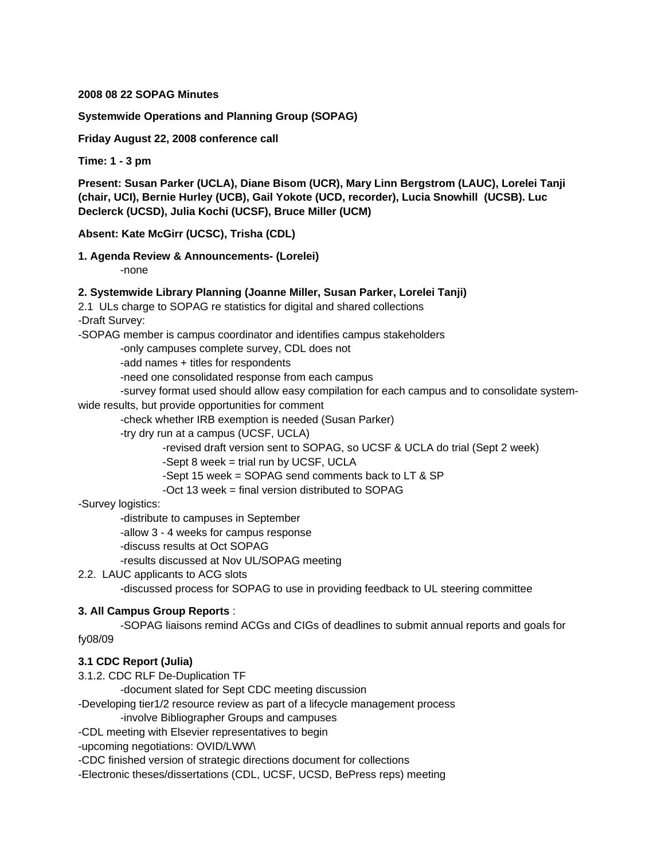#### **2008 08 22 SOPAG Minutes**

#### **Systemwide Operations and Planning Group (SOPAG)**

**Friday August 22, 2008 conference call**

**Time: 1 - 3 pm**

**Present: Susan Parker (UCLA), Diane Bisom (UCR), Mary Linn Bergstrom (LAUC), Lorelei Tanji (chair, UCI), Bernie Hurley (UCB), Gail Yokote (UCD, recorder), Lucia Snowhill (UCSB). Luc Declerck (UCSD), Julia Kochi (UCSF), Bruce Miller (UCM)**

#### **Absent: Kate McGirr (UCSC), Trisha (CDL)**

# **1. Agenda Review & Announcements- (Lorelei)**

-none

### **2. Systemwide Library Planning (Joanne Miller, Susan Parker, Lorelei Tanji)**

2.1 ULs charge to SOPAG re statistics for digital and shared collections -Draft Survey:

-SOPAG member is campus coordinator and identifies campus stakeholders

-only campuses complete survey, CDL does not

-add names + titles for respondents

-need one consolidated response from each campus

-survey format used should allow easy compilation for each campus and to consolidate system-

#### wide results, but provide opportunities for comment

-check whether IRB exemption is needed (Susan Parker)

-try dry run at a campus (UCSF, UCLA)

-revised draft version sent to SOPAG, so UCSF & UCLA do trial (Sept 2 week)

-Sept 8 week = trial run by UCSF, UCLA

-Sept 15 week = SOPAG send comments back to LT & SP

-Oct 13 week = final version distributed to SOPAG

### -Survey logistics:

-distribute to campuses in September

-allow 3 - 4 weeks for campus response

-discuss results at Oct SOPAG

-results discussed at Nov UL/SOPAG meeting

### 2.2. LAUC applicants to ACG slots

-discussed process for SOPAG to use in providing feedback to UL steering committee

### **3. All Campus Group Reports** :

 -SOPAG liaisons remind ACGs and CIGs of deadlines to submit annual reports and goals for fy08/09

### **3.1 CDC Report (Julia)**

3.1.2. CDC RLF De-Duplication TF

-document slated for Sept CDC meeting discussion

-Developing tier1/2 resource review as part of a lifecycle management process

-involve Bibliographer Groups and campuses

-CDL meeting with Elsevier representatives to begin

-upcoming negotiations: OVID/LWW\

-CDC finished version of strategic directions document for collections

-Electronic theses/dissertations (CDL, UCSF, UCSD, BePress reps) meeting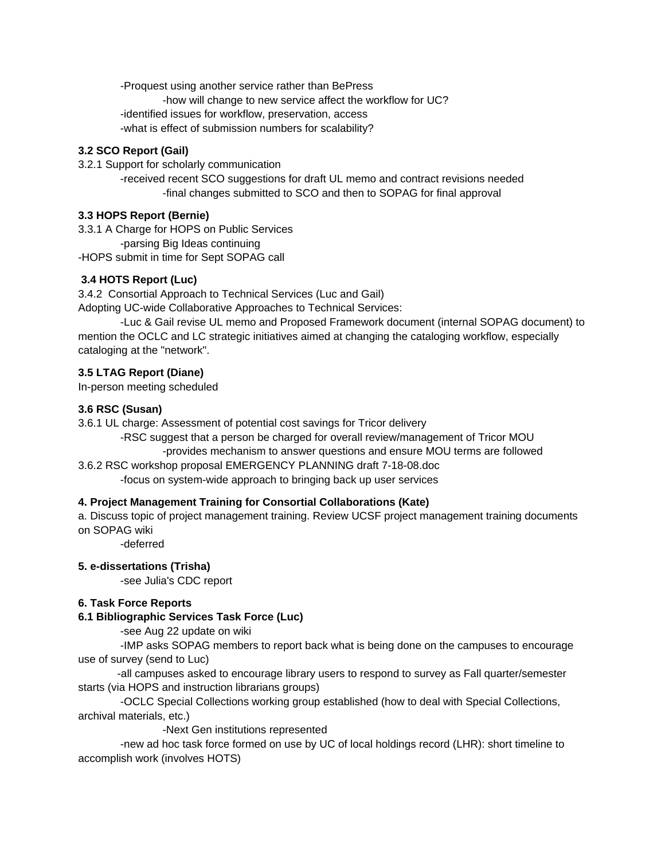-Proquest using another service rather than BePress

-how will change to new service affect the workflow for UC?

-identified issues for workflow, preservation, access

-what is effect of submission numbers for scalability?

## **3.2 SCO Report (Gail)**

3.2.1 Support for scholarly communication

 -received recent SCO suggestions for draft UL memo and contract revisions needed -final changes submitted to SCO and then to SOPAG for final approval

# **3.3 HOPS Report (Bernie)**

3.3.1 A Charge for HOPS on Public Services

-parsing Big Ideas continuing

-HOPS submit in time for Sept SOPAG call

# **3.4 HOTS Report (Luc)**

3.4.2 Consortial Approach to Technical Services (Luc and Gail)

Adopting UC-wide Collaborative Approaches to Technical Services:

 -Luc & Gail revise UL memo and Proposed Framework document (internal SOPAG document) to mention the OCLC and LC strategic initiatives aimed at changing the cataloging workflow, especially cataloging at the "network".

# **3.5 LTAG Report (Diane)**

In-person meeting scheduled

## **3.6 RSC (Susan)**

3.6.1 UL charge: Assessment of potential cost savings for Tricor delivery

 -RSC suggest that a person be charged for overall review/management of Tricor MOU -provides mechanism to answer questions and ensure MOU terms are followed

3.6.2 RSC workshop proposal EMERGENCY PLANNING draft 7-18-08.doc

-focus on system-wide approach to bringing back up user services

# **4. Project Management Training for Consortial Collaborations (Kate)**

a. Discuss topic of project management training. Review UCSF project management training documents on SOPAG wiki

-deferred

# **5. e-dissertations (Trisha)**

-see Julia's CDC report

# **6. Task Force Reports**

# **6.1 Bibliographic Services Task Force (Luc)**

-see Aug 22 update on wiki

 -IMP asks SOPAG members to report back what is being done on the campuses to encourage use of survey (send to Luc)

 -all campuses asked to encourage library users to respond to survey as Fall quarter/semester starts (via HOPS and instruction librarians groups)

 -OCLC Special Collections working group established (how to deal with Special Collections, archival materials, etc.)

-Next Gen institutions represented

 -new ad hoc task force formed on use by UC of local holdings record (LHR): short timeline to accomplish work (involves HOTS)